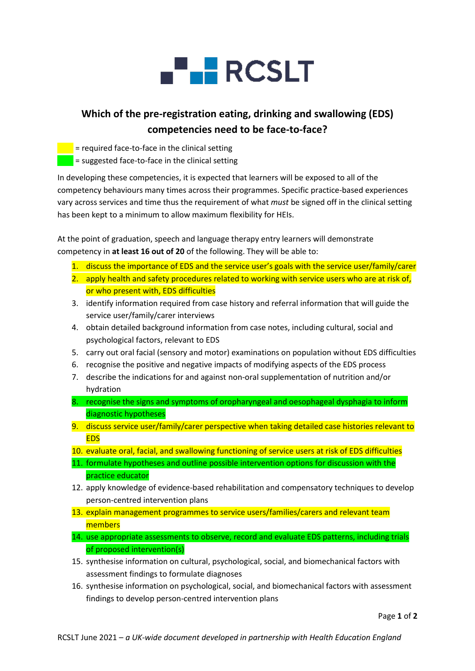

## **Which of the pre-registration eating, drinking and swallowing (EDS) competencies need to be face-to-face?**

 $=$  required face-to-face in the clinical setting

 $\blacksquare$  = suggested face-to-face in the clinical setting

In developing these competencies, it is expected that learners will be exposed to all of the competency behaviours many times across their programmes. Specific practice-based experiences vary across services and time thus the requirement of what *must* be signed off in the clinical setting has been kept to a minimum to allow maximum flexibility for HEIs.

At the point of graduation, speech and language therapy entry learners will demonstrate competency in **at least 16 out of 20** of the following. They will be able to:

- 1. discuss the importance of EDS and the service user's goals with the service user/family/carer
- 2. apply health and safety procedures related to working with service users who are at risk of, or who present with, EDS difficulties
- 3. identify information required from case history and referral information that will guide the service user/family/carer interviews
- 4. obtain detailed background information from case notes, including cultural, social and psychological factors, relevant to EDS
- 5. carry out oral facial (sensory and motor) examinations on population without EDS difficulties
- 6. recognise the positive and negative impacts of modifying aspects of the EDS process
- 7. describe the indications for and against non-oral supplementation of nutrition and/or hydration
- 8. recognise the signs and symptoms of oropharyngeal and oesophageal dysphagia to inform diagnostic hypotheses
- 9. discuss service user/family/carer perspective when taking detailed case histories relevant to **EDS**
- 10. evaluate oral, facial, and swallowing functioning of service users at risk of EDS difficulties
- 11. formulate hypotheses and outline possible intervention options for discussion with the practice educator
- 12. apply knowledge of evidence-based rehabilitation and compensatory techniques to develop person-centred intervention plans
- 13. explain management programmes to service users/families/carers and relevant team members
- 14. use appropriate assessments to observe, record and evaluate EDS patterns, including trials of proposed intervention(s)
- 15. synthesise information on cultural, psychological, social, and biomechanical factors with assessment findings to formulate diagnoses
- 16. synthesise information on psychological, social, and biomechanical factors with assessment findings to develop person-centred intervention plans